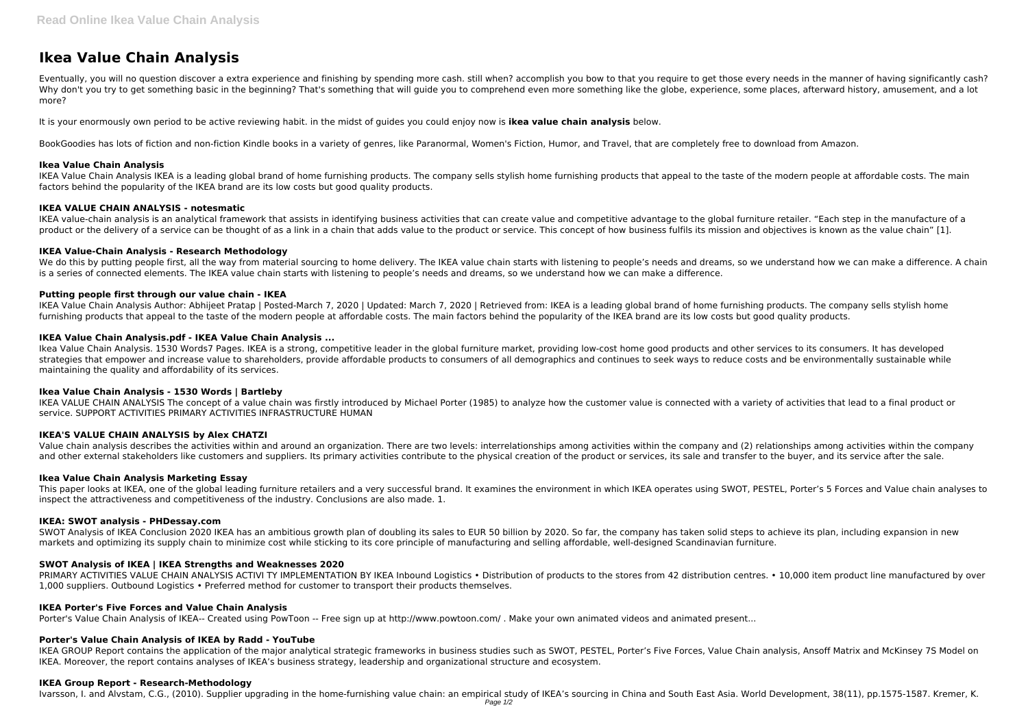# **Ikea Value Chain Analysis**

Eventually, you will no question discover a extra experience and finishing by spending more cash. still when? accomplish you bow to that you require to get those every needs in the manner of having significantly cash? Why don't you try to get something basic in the beginning? That's something that will guide you to comprehend even more something like the globe, experience, some places, afterward history, amusement, and a lot more?

It is your enormously own period to be active reviewing habit. in the midst of guides you could enjoy now is **ikea value chain analysis** below.

IKEA Value Chain Analysis IKEA is a leading global brand of home furnishing products. The company sells stylish home furnishing products that appeal to the taste of the modern people at affordable costs. The main factors behind the popularity of the IKEA brand are its low costs but good quality products.

IKEA value-chain analysis is an analytical framework that assists in identifying business activities that can create value and competitive advantage to the global furniture retailer. "Each step in the manufacture of a product or the delivery of a service can be thought of as a link in a chain that adds value to the product or service. This concept of how business fulfils its mission and objectives is known as the value chain" [1].

BookGoodies has lots of fiction and non-fiction Kindle books in a variety of genres, like Paranormal, Women's Fiction, Humor, and Travel, that are completely free to download from Amazon.

## **Ikea Value Chain Analysis**

We do this by putting people first, all the way from material sourcing to home delivery. The IKEA value chain starts with listening to people's needs and dreams, so we understand how we can make a difference. A chain is a series of connected elements. The IKEA value chain starts with listening to people's needs and dreams, so we understand how we can make a difference.

IKEA Value Chain Analysis Author: Abhijeet Pratap | Posted-March 7, 2020 | Updated: March 7, 2020 | Retrieved from: IKEA is a leading global brand of home furnishing products. The company sells stylish home furnishing products that appeal to the taste of the modern people at affordable costs. The main factors behind the popularity of the IKEA brand are its low costs but good quality products.

# **IKEA VALUE CHAIN ANALYSIS - notesmatic**

# **IKEA Value-Chain Analysis - Research Methodology**

IKEA VALUE CHAIN ANALYSIS The concept of a value chain was firstly introduced by Michael Porter (1985) to analyze how the customer value is connected with a variety of activities that lead to a final product or service. SUPPORT ACTIVITIES PRIMARY ACTIVITIES INFRASTRUCTURE HUMAN

# **Putting people first through our value chain - IKEA**

SWOT Analysis of IKEA Conclusion 2020 IKEA has an ambitious growth plan of doubling its sales to EUR 50 billion by 2020. So far, the company has taken solid steps to achieve its plan, including expansion in new markets and optimizing its supply chain to minimize cost while sticking to its core principle of manufacturing and selling affordable, well-designed Scandinavian furniture.

PRIMARY ACTIVITIES VALUE CHAIN ANALYSIS ACTIVI TY IMPLEMENTATION BY IKEA Inbound Logistics . Distribution of products to the stores from 42 distribution centres. . 10,000 item product line manufactured by over 1,000 suppliers. Outbound Logistics • Preferred method for customer to transport their products themselves.

# **IKEA Value Chain Analysis.pdf - IKEA Value Chain Analysis ...**

Ikea Value Chain Analysis. 1530 Words7 Pages. IKEA is a strong, competitive leader in the global furniture market, providing low-cost home good products and other services to its consumers. It has developed strategies that empower and increase value to shareholders, provide affordable products to consumers of all demographics and continues to seek ways to reduce costs and be environmentally sustainable while maintaining the quality and affordability of its services.

## **Ikea Value Chain Analysis - 1530 Words | Bartleby**

# **IKEA'S VALUE CHAIN ANALYSIS by Alex CHATZI**

Value chain analysis describes the activities within and around an organization. There are two levels: interrelationships among activities within the company and (2) relationships among activities within the company and other external stakeholders like customers and suppliers. Its primary activities contribute to the physical creation of the product or services, its sale and transfer to the buyer, and its service after the sale.

## **Ikea Value Chain Analysis Marketing Essay**

This paper looks at IKEA, one of the global leading furniture retailers and a very successful brand. It examines the environment in which IKEA operates using SWOT, PESTEL, Porter's 5 Forces and Value chain analyses to inspect the attractiveness and competitiveness of the industry. Conclusions are also made. 1.

## **IKEA: SWOT analysis - PHDessay.com**

# **SWOT Analysis of IKEA | IKEA Strengths and Weaknesses 2020**

## **IKEA Porter's Five Forces and Value Chain Analysis**

Porter's Value Chain Analysis of IKEA-- Created using PowToon -- Free sign up at http://www.powtoon.com/ . Make your own animated videos and animated present...

# **Porter's Value Chain Analysis of IKEA by Radd - YouTube**

IKEA GROUP Report contains the application of the major analytical strategic frameworks in business studies such as SWOT, PESTEL, Porter's Five Forces, Value Chain analysis, Ansoff Matrix and McKinsey 7S Model on IKEA. Moreover, the report contains analyses of IKEA's business strategy, leadership and organizational structure and ecosystem.

## **IKEA Group Report - Research-Methodology**

Ivarsson, I. and Alvstam, C.G., (2010). Supplier upgrading in the home-furnishing value chain: an empirical study of IKEA's sourcing in China and South East Asia. World Development, 38(11), pp.1575-1587. Kremer, K.